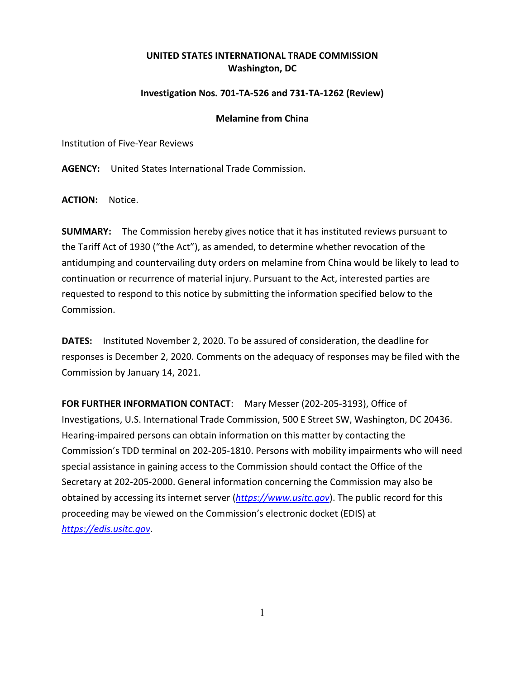## **UNITED STATES INTERNATIONAL TRADE COMMISSION Washington, DC**

## **Investigation Nos. 701-TA-526 and 731-TA-1262 (Review)**

## **Melamine from China**

Institution of Five-Year Reviews

**AGENCY:** United States International Trade Commission.

**ACTION:** Notice.

**SUMMARY:** The Commission hereby gives notice that it has instituted reviews pursuant to the Tariff Act of 1930 ("the Act"), as amended, to determine whether revocation of the antidumping and countervailing duty orders on melamine from China would be likely to lead to continuation or recurrence of material injury. Pursuant to the Act, interested parties are requested to respond to this notice by submitting the information specified below to the Commission.

**DATES:** Instituted November 2, 2020. To be assured of consideration, the deadline for responses is December 2, 2020. Comments on the adequacy of responses may be filed with the Commission by January 14, 2021.

**FOR FURTHER INFORMATION CONTACT**: Mary Messer (202-205-3193), Office of Investigations, U.S. International Trade Commission, 500 E Street SW, Washington, DC 20436. Hearing-impaired persons can obtain information on this matter by contacting the Commission's TDD terminal on 202-205-1810. Persons with mobility impairments who will need special assistance in gaining access to the Commission should contact the Office of the Secretary at 202-205-2000. General information concerning the Commission may also be obtained by accessing its internet server (*[https://www.usitc.gov](https://www.usitc.gov/)*). The public record for this proceeding may be viewed on the Commission's electronic docket (EDIS) at *[https://edis.usitc.gov](https://edis.usitc.gov/)*.

1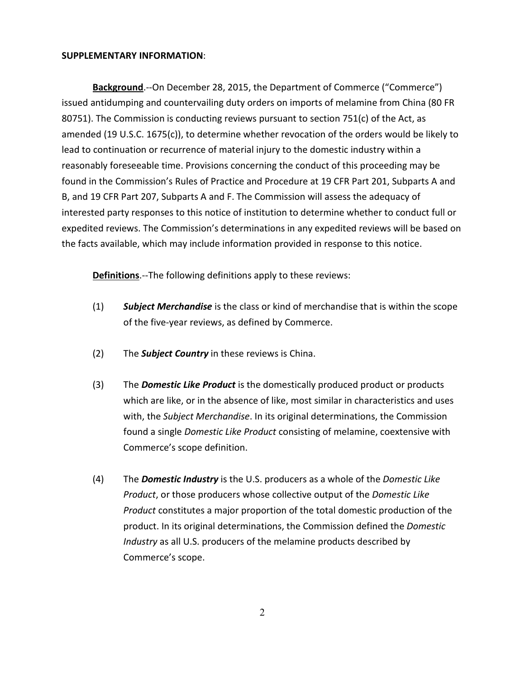## **SUPPLEMENTARY INFORMATION**:

**Background**.--On December 28, 2015, the Department of Commerce ("Commerce") issued antidumping and countervailing duty orders on imports of melamine from China (80 FR 80751). The Commission is conducting reviews pursuant to section 751(c) of the Act, as amended (19 U.S.C. 1675(c)), to determine whether revocation of the orders would be likely to lead to continuation or recurrence of material injury to the domestic industry within a reasonably foreseeable time. Provisions concerning the conduct of this proceeding may be found in the Commission's Rules of Practice and Procedure at 19 CFR Part 201, Subparts A and B, and 19 CFR Part 207, Subparts A and F. The Commission will assess the adequacy of interested party responses to this notice of institution to determine whether to conduct full or expedited reviews. The Commission's determinations in any expedited reviews will be based on the facts available, which may include information provided in response to this notice.

**Definitions**.--The following definitions apply to these reviews:

- (1) *Subject Merchandise* is the class or kind of merchandise that is within the scope of the five-year reviews, as defined by Commerce.
- (2) The *Subject Country* in these reviews is China.
- (3) The *Domestic Like Product* is the domestically produced product or products which are like, or in the absence of like, most similar in characteristics and uses with, the *Subject Merchandise*. In its original determinations, the Commission found a single *Domestic Like Product* consisting of melamine, coextensive with Commerce's scope definition.
- (4) The *Domestic Industry* is the U.S. producers as a whole of the *Domestic Like Product*, or those producers whose collective output of the *Domestic Like Product* constitutes a major proportion of the total domestic production of the product. In its original determinations, the Commission defined the *Domestic Industry* as all U.S. producers of the melamine products described by Commerce's scope.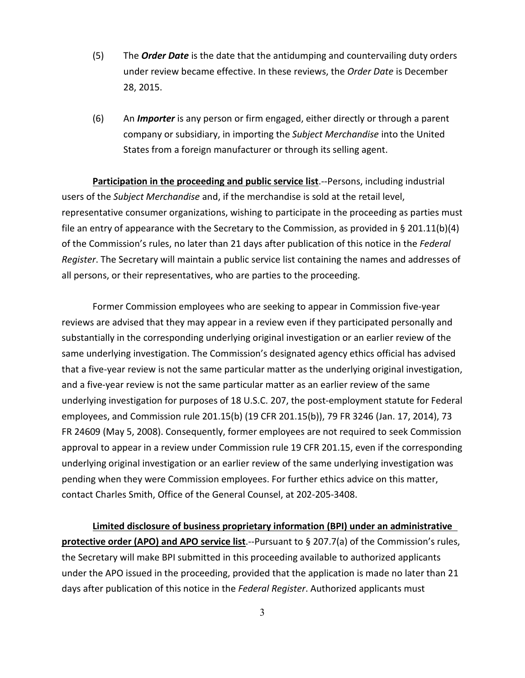- (5) The *Order Date* is the date that the antidumping and countervailing duty orders under review became effective. In these reviews, the *Order Date* is December 28, 2015.
- (6) An *Importer* is any person or firm engaged, either directly or through a parent company or subsidiary, in importing the *Subject Merchandise* into the United States from a foreign manufacturer or through its selling agent.

**Participation in the proceeding and public service list**.--Persons, including industrial users of the *Subject Merchandise* and, if the merchandise is sold at the retail level, representative consumer organizations, wishing to participate in the proceeding as parties must file an entry of appearance with the Secretary to the Commission, as provided in § 201.11(b)(4) of the Commission's rules, no later than 21 days after publication of this notice in the *Federal Register*. The Secretary will maintain a public service list containing the names and addresses of all persons, or their representatives, who are parties to the proceeding.

Former Commission employees who are seeking to appear in Commission five-year reviews are advised that they may appear in a review even if they participated personally and substantially in the corresponding underlying original investigation or an earlier review of the same underlying investigation. The Commission's designated agency ethics official has advised that a five-year review is not the same particular matter as the underlying original investigation, and a five-year review is not the same particular matter as an earlier review of the same underlying investigation for purposes of 18 U.S.C. 207, the post-employment statute for Federal employees, and Commission rule 201.15(b) (19 CFR 201.15(b)), 79 FR 3246 (Jan. 17, 2014), 73 FR 24609 (May 5, 2008). Consequently, former employees are not required to seek Commission approval to appear in a review under Commission rule 19 CFR 201.15, even if the corresponding underlying original investigation or an earlier review of the same underlying investigation was pending when they were Commission employees. For further ethics advice on this matter, contact Charles Smith, Office of the General Counsel, at 202-205-3408.

**Limited disclosure of business proprietary information (BPI) under an administrative protective order (APO) and APO service list**.--Pursuant to § 207.7(a) of the Commission's rules, the Secretary will make BPI submitted in this proceeding available to authorized applicants under the APO issued in the proceeding, provided that the application is made no later than 21 days after publication of this notice in the *Federal Register*. Authorized applicants must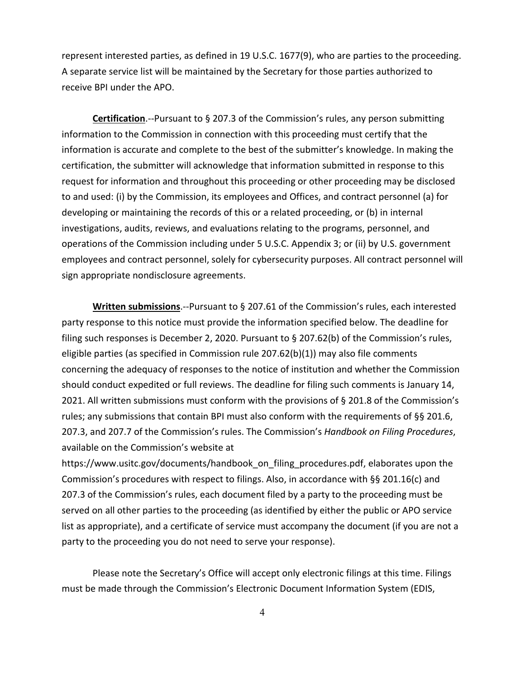represent interested parties, as defined in 19 U.S.C. 1677(9), who are parties to the proceeding. A separate service list will be maintained by the Secretary for those parties authorized to receive BPI under the APO.

**Certification**.--Pursuant to § 207.3 of the Commission's rules, any person submitting information to the Commission in connection with this proceeding must certify that the information is accurate and complete to the best of the submitter's knowledge. In making the certification, the submitter will acknowledge that information submitted in response to this request for information and throughout this proceeding or other proceeding may be disclosed to and used: (i) by the Commission, its employees and Offices, and contract personnel (a) for developing or maintaining the records of this or a related proceeding, or (b) in internal investigations, audits, reviews, and evaluations relating to the programs, personnel, and operations of the Commission including under 5 U.S.C. Appendix 3; or (ii) by U.S. government employees and contract personnel, solely for cybersecurity purposes. All contract personnel will sign appropriate nondisclosure agreements.

**Written submissions**.--Pursuant to § 207.61 of the Commission's rules, each interested party response to this notice must provide the information specified below. The deadline for filing such responses is December 2, 2020. Pursuant to § 207.62(b) of the Commission's rules, eligible parties (as specified in Commission rule 207.62(b)(1)) may also file comments concerning the adequacy of responses to the notice of institution and whether the Commission should conduct expedited or full reviews. The deadline for filing such comments is January 14, 2021. All written submissions must conform with the provisions of § 201.8 of the Commission's rules; any submissions that contain BPI must also conform with the requirements of §§ 201.6, 207.3, and 207.7 of the Commission's rules. The Commission's *Handbook on Filing Procedures*, available on the Commission's website at

https://www.usitc.gov/documents/handbook\_on\_filing\_procedures.pdf, elaborates upon the Commission's procedures with respect to filings. Also, in accordance with §§ 201.16(c) and 207.3 of the Commission's rules, each document filed by a party to the proceeding must be served on all other parties to the proceeding (as identified by either the public or APO service list as appropriate), and a certificate of service must accompany the document (if you are not a party to the proceeding you do not need to serve your response).

Please note the Secretary's Office will accept only electronic filings at this time. Filings must be made through the Commission's Electronic Document Information System (EDIS,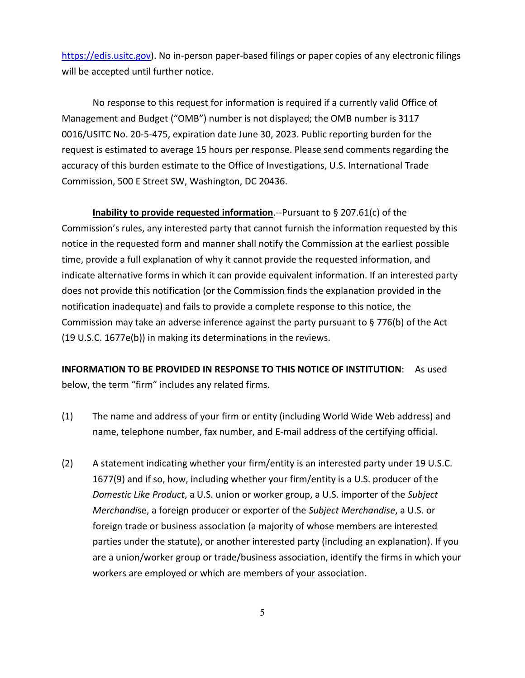[https://edis.usitc.gov\)](https://edis.usitc.gov/). No in-person paper-based filings or paper copies of any electronic filings will be accepted until further notice.

No response to this request for information is required if a currently valid Office of Management and Budget ("OMB") number is not displayed; the OMB number is 3117 0016/USITC No. 20-5-475, expiration date June 30, 2023. Public reporting burden for the request is estimated to average 15 hours per response. Please send comments regarding the accuracy of this burden estimate to the Office of Investigations, U.S. International Trade Commission, 500 E Street SW, Washington, DC 20436.

**Inability to provide requested information**.--Pursuant to § 207.61(c) of the Commission's rules, any interested party that cannot furnish the information requested by this notice in the requested form and manner shall notify the Commission at the earliest possible time, provide a full explanation of why it cannot provide the requested information, and indicate alternative forms in which it can provide equivalent information. If an interested party does not provide this notification (or the Commission finds the explanation provided in the notification inadequate) and fails to provide a complete response to this notice, the Commission may take an adverse inference against the party pursuant to § 776(b) of the Act (19 U.S.C. 1677e(b)) in making its determinations in the reviews.

**INFORMATION TO BE PROVIDED IN RESPONSE TO THIS NOTICE OF INSTITUTION**: As used below, the term "firm" includes any related firms.

- (1) The name and address of your firm or entity (including World Wide Web address) and name, telephone number, fax number, and E-mail address of the certifying official.
- (2) A statement indicating whether your firm/entity is an interested party under 19 U.S.C. 1677(9) and if so, how, including whether your firm/entity is a U.S. producer of the *Domestic Like Product*, a U.S. union or worker group, a U.S. importer of the *Subject Merchandi*se, a foreign producer or exporter of the *Subject Merchandise*, a U.S. or foreign trade or business association (a majority of whose members are interested parties under the statute), or another interested party (including an explanation). If you are a union/worker group or trade/business association, identify the firms in which your workers are employed or which are members of your association.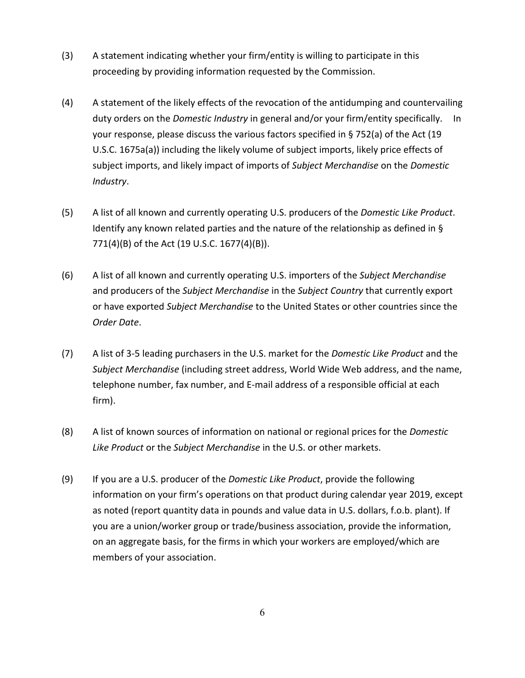- (3) A statement indicating whether your firm/entity is willing to participate in this proceeding by providing information requested by the Commission.
- (4) A statement of the likely effects of the revocation of the antidumping and countervailing duty orders on the *Domestic Industry* in general and/or your firm/entity specifically. In your response, please discuss the various factors specified in § 752(a) of the Act (19 U.S.C. 1675a(a)) including the likely volume of subject imports, likely price effects of subject imports, and likely impact of imports of *Subject Merchandise* on the *Domestic Industry*.
- (5) A list of all known and currently operating U.S. producers of the *Domestic Like Product*. Identify any known related parties and the nature of the relationship as defined in § 771(4)(B) of the Act (19 U.S.C. 1677(4)(B)).
- (6) A list of all known and currently operating U.S. importers of the *Subject Merchandise* and producers of the *Subject Merchandise* in the *Subject Country* that currently export or have exported *Subject Merchandise* to the United States or other countries since the *Order Date*.
- (7) A list of 3-5 leading purchasers in the U.S. market for the *Domestic Like Product* and the *Subject Merchandise* (including street address, World Wide Web address, and the name, telephone number, fax number, and E-mail address of a responsible official at each firm).
- (8) A list of known sources of information on national or regional prices for the *Domestic Like Product* or the *Subject Merchandise* in the U.S. or other markets.
- (9) If you are a U.S. producer of the *Domestic Like Product*, provide the following information on your firm's operations on that product during calendar year 2019, except as noted (report quantity data in pounds and value data in U.S. dollars, f.o.b. plant). If you are a union/worker group or trade/business association, provide the information, on an aggregate basis, for the firms in which your workers are employed/which are members of your association.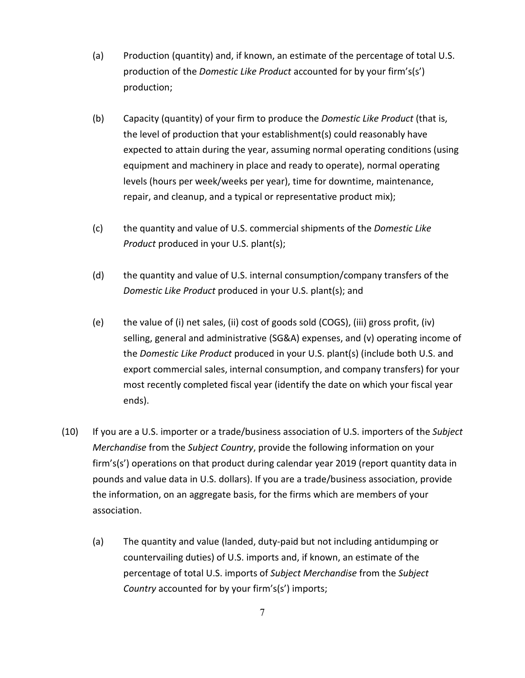- (a) Production (quantity) and, if known, an estimate of the percentage of total U.S. production of the *Domestic Like Product* accounted for by your firm's(s') production;
- (b) Capacity (quantity) of your firm to produce the *Domestic Like Product* (that is, the level of production that your establishment(s) could reasonably have expected to attain during the year, assuming normal operating conditions (using equipment and machinery in place and ready to operate), normal operating levels (hours per week/weeks per year), time for downtime, maintenance, repair, and cleanup, and a typical or representative product mix);
- (c) the quantity and value of U.S. commercial shipments of the *Domestic Like Product* produced in your U.S. plant(s);
- (d) the quantity and value of U.S. internal consumption/company transfers of the *Domestic Like Product* produced in your U.S. plant(s); and
- (e) the value of (i) net sales, (ii) cost of goods sold (COGS), (iii) gross profit, (iv) selling, general and administrative (SG&A) expenses, and (v) operating income of the *Domestic Like Product* produced in your U.S. plant(s) (include both U.S. and export commercial sales, internal consumption, and company transfers) for your most recently completed fiscal year (identify the date on which your fiscal year ends).
- (10) If you are a U.S. importer or a trade/business association of U.S. importers of the *Subject Merchandise* from the *Subject Country*, provide the following information on your firm's(s') operations on that product during calendar year 2019 (report quantity data in pounds and value data in U.S. dollars). If you are a trade/business association, provide the information, on an aggregate basis, for the firms which are members of your association.
	- (a) The quantity and value (landed, duty-paid but not including antidumping or countervailing duties) of U.S. imports and, if known, an estimate of the percentage of total U.S. imports of *Subject Merchandise* from the *Subject Country* accounted for by your firm's(s') imports;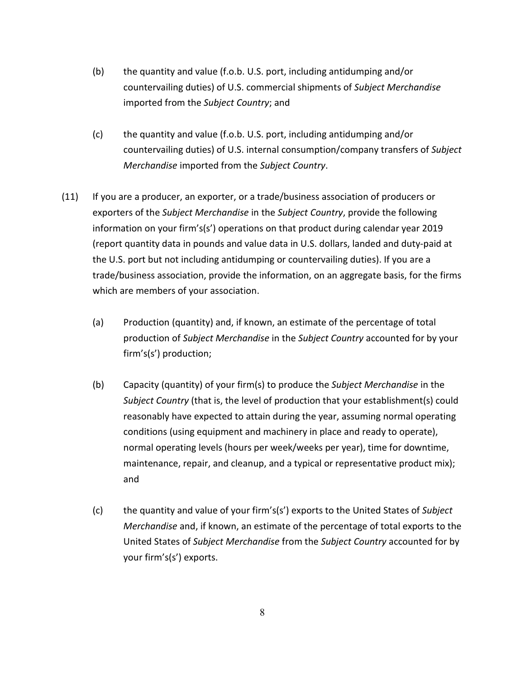- (b) the quantity and value (f.o.b. U.S. port, including antidumping and/or countervailing duties) of U.S. commercial shipments of *Subject Merchandise* imported from the *Subject Country*; and
- (c) the quantity and value (f.o.b. U.S. port, including antidumping and/or countervailing duties) of U.S. internal consumption/company transfers of *Subject Merchandise* imported from the *Subject Country*.
- (11) If you are a producer, an exporter, or a trade/business association of producers or exporters of the *Subject Merchandise* in the *Subject Country*, provide the following information on your firm's(s') operations on that product during calendar year 2019 (report quantity data in pounds and value data in U.S. dollars, landed and duty-paid at the U.S. port but not including antidumping or countervailing duties). If you are a trade/business association, provide the information, on an aggregate basis, for the firms which are members of your association.
	- (a) Production (quantity) and, if known, an estimate of the percentage of total production of *Subject Merchandise* in the *Subject Country* accounted for by your firm's(s') production;
	- (b) Capacity (quantity) of your firm(s) to produce the *Subject Merchandise* in the *Subject Country* (that is, the level of production that your establishment(s) could reasonably have expected to attain during the year, assuming normal operating conditions (using equipment and machinery in place and ready to operate), normal operating levels (hours per week/weeks per year), time for downtime, maintenance, repair, and cleanup, and a typical or representative product mix); and
	- (c) the quantity and value of your firm's(s') exports to the United States of *Subject Merchandise* and, if known, an estimate of the percentage of total exports to the United States of *Subject Merchandise* from the *Subject Country* accounted for by your firm's(s') exports.